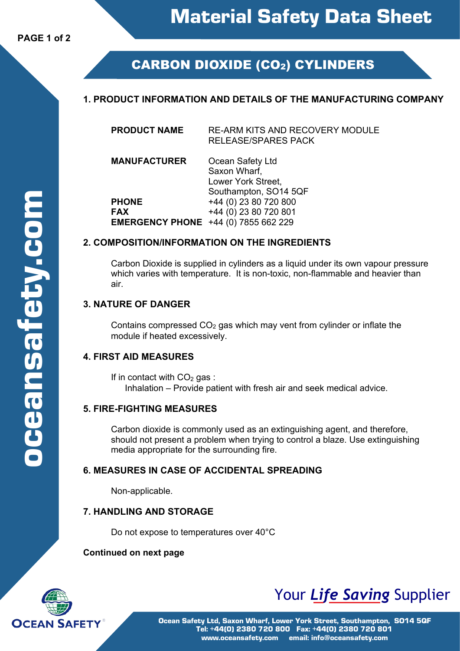# **CARBON DIOXIDE (CO2) CYLINDERS**

## **1. PRODUCT INFORMATION AND DETAILS OF THE MANUFACTURING COMPANY**

**PRODUCT NAME** RE-ARM KITS AND RECOVERY MODULE RELEASE/SPARES PACK

**MANUFACTURER** Ocean Safety Ltd Saxon Wharf, Lower York Street, Southampton, SO14 5QF **PHONE**  $+44 (0) 23 80 720 800$ **FAX** +44 (0) 23 80 720 801 **EMERGENCY PHONE** +44 (0) 7855 662 229

#### **2. COMPOSITION/INFORMATION ON THE INGREDIENTS**

Carbon Dioxide is supplied in cylinders as a liquid under its own vapour pressure which varies with temperature. It is non-toxic, non-flammable and heavier than air.

#### **3. NATURE OF DANGER**

Contains compressed  $CO<sub>2</sub>$  gas which may vent from cylinder or inflate the module if heated excessively.

#### **4. FIRST AID MEASURES**

If in contact with  $CO<sub>2</sub>$  gas : Inhalation – Provide patient with fresh air and seek medical advice.

#### **5. FIRE-FIGHTING MEASURES**

Carbon dioxide is commonly used as an extinguishing agent, and therefore, should not present a problem when trying to control a blaze. Use extinguishing media appropriate for the surrounding fire.

#### **6. MEASURES IN CASE OF ACCIDENTAL SPREADING**

Non-applicable.

#### **7. HANDLING AND STORAGE**

Do not expose to temperatures over 40°C

#### **Continued on next page**



# Your *Life Saving* Supplier

Ocean Safety Ltd, Saxon Wharf, Lower York Street, Southampton, SO14 5QF Tel: +44(0) 2380 720 800 Fax: +44(0) 2380 720 801 www.oceansafety.com email: info@oceansafety.com